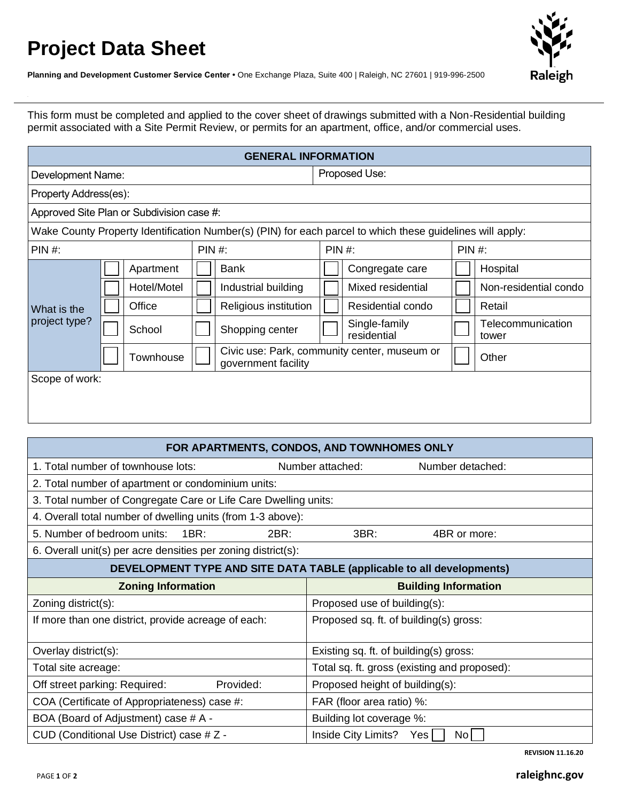## **Project Data Sheet**



**Planning and Development Customer Service Center •** One Exchange Plaza, Suite 400 | Raleigh, NC 27601 | 919-996-2500

This form must be completed and applied to the cover sheet of drawings submitted with a Non-Residential building permit associated with a Site Permit Review, or permits for an apartment, office, and/or commercial uses.

| <b>GENERAL INFORMATION</b>                                                                                |  |                                  |        |                       |                                              |                              |        |                            |  |  |
|-----------------------------------------------------------------------------------------------------------|--|----------------------------------|--------|-----------------------|----------------------------------------------|------------------------------|--------|----------------------------|--|--|
| Development Name:                                                                                         |  |                                  |        |                       |                                              | Proposed Use:                |        |                            |  |  |
| Property Address(es):                                                                                     |  |                                  |        |                       |                                              |                              |        |                            |  |  |
| Approved Site Plan or Subdivision case #:                                                                 |  |                                  |        |                       |                                              |                              |        |                            |  |  |
| Wake County Property Identification Number(s) (PIN) for each parcel to which these guidelines will apply: |  |                                  |        |                       |                                              |                              |        |                            |  |  |
| <b>PIN #:</b>                                                                                             |  |                                  | PIN #: |                       | PIN #:                                       |                              | PIN #: |                            |  |  |
| What is the<br>project type?                                                                              |  | Apartment                        |        | Bank                  |                                              | Congregate care              |        | Hospital                   |  |  |
|                                                                                                           |  | Hotel/Motel                      |        | Industrial building   |                                              | Mixed residential            |        | Non-residential condo      |  |  |
|                                                                                                           |  | Office                           |        | Religious institution |                                              | Residential condo            |        | Retail                     |  |  |
|                                                                                                           |  | School                           |        | Shopping center       |                                              | Single-family<br>residential |        | Telecommunication<br>tower |  |  |
|                                                                                                           |  | Townhouse<br>government facility |        |                       | Civic use: Park, community center, museum or |                              |        | Other                      |  |  |
| Scope of work:                                                                                            |  |                                  |        |                       |                                              |                              |        |                            |  |  |

| FOR APARTMENTS, CONDOS, AND TOWNHOMES ONLY                                   |                                              |  |  |  |  |  |  |  |  |
|------------------------------------------------------------------------------|----------------------------------------------|--|--|--|--|--|--|--|--|
| 1. Total number of townhouse lots:                                           | Number attached:<br>Number detached:         |  |  |  |  |  |  |  |  |
| 2. Total number of apartment or condominium units:                           |                                              |  |  |  |  |  |  |  |  |
| 3. Total number of Congregate Care or Life Care Dwelling units:              |                                              |  |  |  |  |  |  |  |  |
| 4. Overall total number of dwelling units (from 1-3 above):                  |                                              |  |  |  |  |  |  |  |  |
| 5. Number of bedroom units:<br>1BR:<br>2BR:                                  | 3BR:<br>4BR or more:                         |  |  |  |  |  |  |  |  |
| 6. Overall unit(s) per acre densities per zoning district(s):                |                                              |  |  |  |  |  |  |  |  |
| <b>DEVELOPMENT TYPE AND SITE DATA TABLE (applicable to all developments)</b> |                                              |  |  |  |  |  |  |  |  |
| <b>Zoning Information</b>                                                    | <b>Building Information</b>                  |  |  |  |  |  |  |  |  |
| Zoning district(s):                                                          | Proposed use of building(s):                 |  |  |  |  |  |  |  |  |
| If more than one district, provide acreage of each:                          | Proposed sq. ft. of building(s) gross:       |  |  |  |  |  |  |  |  |
| Overlay district(s):                                                         | Existing sq. ft. of building(s) gross:       |  |  |  |  |  |  |  |  |
| Total site acreage:                                                          | Total sq. ft. gross (existing and proposed): |  |  |  |  |  |  |  |  |
| Provided:<br>Off street parking: Required:                                   | Proposed height of building(s):              |  |  |  |  |  |  |  |  |
| COA (Certificate of Appropriateness) case #:                                 | FAR (floor area ratio) %:                    |  |  |  |  |  |  |  |  |
| BOA (Board of Adjustment) case # A -                                         | Building lot coverage %:                     |  |  |  |  |  |  |  |  |
| CUD (Conditional Use District) case # Z -                                    | Inside City Limits?<br>Yes<br>No l           |  |  |  |  |  |  |  |  |

**REVISION 11.16.20**